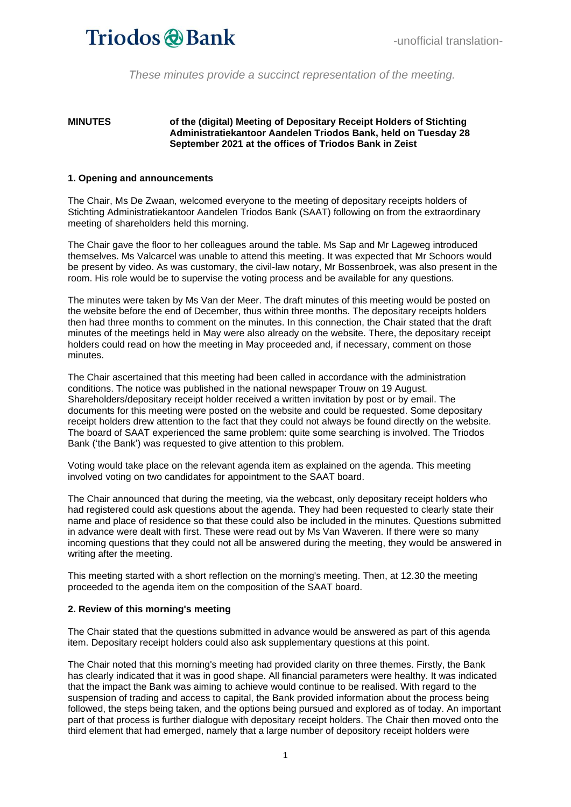*These minutes provide a succinct representation of the meeting.*

#### **MINUTES of the (digital) Meeting of Depositary Receipt Holders of Stichting Administratiekantoor Aandelen Triodos Bank, held on Tuesday 28 September 2021 at the offices of Triodos Bank in Zeist**

#### **1. Opening and announcements**

The Chair, Ms De Zwaan, welcomed everyone to the meeting of depositary receipts holders of Stichting Administratiekantoor Aandelen Triodos Bank (SAAT) following on from the extraordinary meeting of shareholders held this morning.

The Chair gave the floor to her colleagues around the table. Ms Sap and Mr Lageweg introduced themselves. Ms Valcarcel was unable to attend this meeting. It was expected that Mr Schoors would be present by video. As was customary, the civil-law notary, Mr Bossenbroek, was also present in the room. His role would be to supervise the voting process and be available for any questions.

The minutes were taken by Ms Van der Meer. The draft minutes of this meeting would be posted on the website before the end of December, thus within three months. The depositary receipts holders then had three months to comment on the minutes. In this connection, the Chair stated that the draft minutes of the meetings held in May were also already on the website. There, the depositary receipt holders could read on how the meeting in May proceeded and, if necessary, comment on those minutes.

The Chair ascertained that this meeting had been called in accordance with the administration conditions. The notice was published in the national newspaper Trouw on 19 August. Shareholders/depositary receipt holder received a written invitation by post or by email. The documents for this meeting were posted on the website and could be requested. Some depositary receipt holders drew attention to the fact that they could not always be found directly on the website. The board of SAAT experienced the same problem: quite some searching is involved. The Triodos Bank ('the Bank') was requested to give attention to this problem.

Voting would take place on the relevant agenda item as explained on the agenda. This meeting involved voting on two candidates for appointment to the SAAT board.

The Chair announced that during the meeting, via the webcast, only depositary receipt holders who had registered could ask questions about the agenda. They had been requested to clearly state their name and place of residence so that these could also be included in the minutes. Questions submitted in advance were dealt with first. These were read out by Ms Van Waveren. If there were so many incoming questions that they could not all be answered during the meeting, they would be answered in writing after the meeting.

This meeting started with a short reflection on the morning's meeting. Then, at 12.30 the meeting proceeded to the agenda item on the composition of the SAAT board.

#### **2. Review of this morning's meeting**

The Chair stated that the questions submitted in advance would be answered as part of this agenda item. Depositary receipt holders could also ask supplementary questions at this point.

The Chair noted that this morning's meeting had provided clarity on three themes. Firstly, the Bank has clearly indicated that it was in good shape. All financial parameters were healthy. It was indicated that the impact the Bank was aiming to achieve would continue to be realised. With regard to the suspension of trading and access to capital, the Bank provided information about the process being followed, the steps being taken, and the options being pursued and explored as of today. An important part of that process is further dialogue with depositary receipt holders. The Chair then moved onto the third element that had emerged, namely that a large number of depository receipt holders were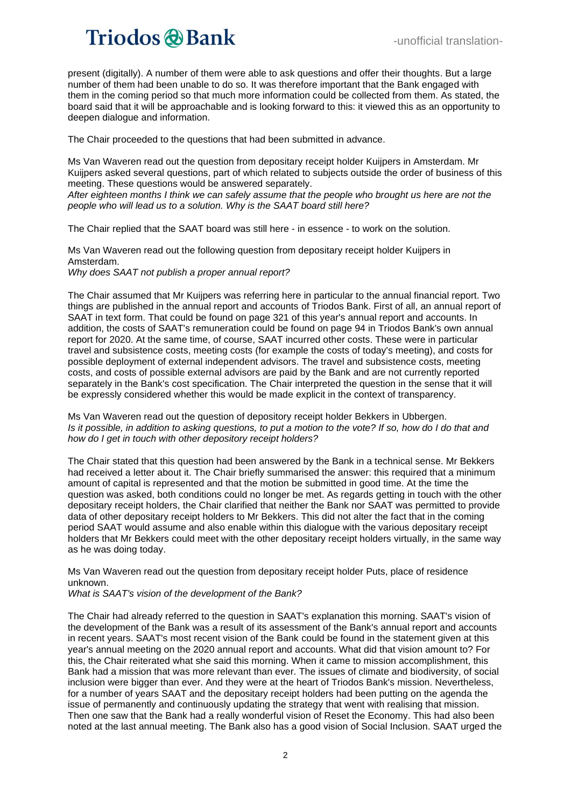present (digitally). A number of them were able to ask questions and offer their thoughts. But a large number of them had been unable to do so. It was therefore important that the Bank engaged with them in the coming period so that much more information could be collected from them. As stated, the board said that it will be approachable and is looking forward to this: it viewed this as an opportunity to deepen dialogue and information.

The Chair proceeded to the questions that had been submitted in advance.

Ms Van Waveren read out the question from depositary receipt holder Kuijpers in Amsterdam. Mr Kuijpers asked several questions, part of which related to subjects outside the order of business of this meeting. These questions would be answered separately.

*After eighteen months I think we can safely assume that the people who brought us here are not the people who will lead us to a solution. Why is the SAAT board still here?*

The Chair replied that the SAAT board was still here - in essence - to work on the solution.

Ms Van Waveren read out the following question from depositary receipt holder Kuijpers in Amsterdam.

*Why does SAAT not publish a proper annual report?* 

The Chair assumed that Mr Kuijpers was referring here in particular to the annual financial report. Two things are published in the annual report and accounts of Triodos Bank. First of all, an annual report of SAAT in text form. That could be found on page 321 of this year's annual report and accounts. In addition, the costs of SAAT's remuneration could be found on page 94 in Triodos Bank's own annual report for 2020. At the same time, of course, SAAT incurred other costs. These were in particular travel and subsistence costs, meeting costs (for example the costs of today's meeting), and costs for possible deployment of external independent advisors. The travel and subsistence costs, meeting costs, and costs of possible external advisors are paid by the Bank and are not currently reported separately in the Bank's cost specification. The Chair interpreted the question in the sense that it will be expressly considered whether this would be made explicit in the context of transparency.

Ms Van Waveren read out the question of depository receipt holder Bekkers in Ubbergen. *Is it possible, in addition to asking questions, to put a motion to the vote? If so, how do I do that and how do I get in touch with other depository receipt holders?*

The Chair stated that this question had been answered by the Bank in a technical sense. Mr Bekkers had received a letter about it. The Chair briefly summarised the answer: this required that a minimum amount of capital is represented and that the motion be submitted in good time. At the time the question was asked, both conditions could no longer be met. As regards getting in touch with the other depositary receipt holders, the Chair clarified that neither the Bank nor SAAT was permitted to provide data of other depositary receipt holders to Mr Bekkers. This did not alter the fact that in the coming period SAAT would assume and also enable within this dialogue with the various depositary receipt holders that Mr Bekkers could meet with the other depositary receipt holders virtually, in the same way as he was doing today.

Ms Van Waveren read out the question from depositary receipt holder Puts, place of residence unknown.

*What is SAAT's vision of the development of the Bank?*

The Chair had already referred to the question in SAAT's explanation this morning. SAAT's vision of the development of the Bank was a result of its assessment of the Bank's annual report and accounts in recent years. SAAT's most recent vision of the Bank could be found in the statement given at this year's annual meeting on the 2020 annual report and accounts. What did that vision amount to? For this, the Chair reiterated what she said this morning. When it came to mission accomplishment, this Bank had a mission that was more relevant than ever. The issues of climate and biodiversity, of social inclusion were bigger than ever. And they were at the heart of Triodos Bank's mission. Nevertheless, for a number of years SAAT and the depositary receipt holders had been putting on the agenda the issue of permanently and continuously updating the strategy that went with realising that mission. Then one saw that the Bank had a really wonderful vision of Reset the Economy. This had also been noted at the last annual meeting. The Bank also has a good vision of Social Inclusion. SAAT urged the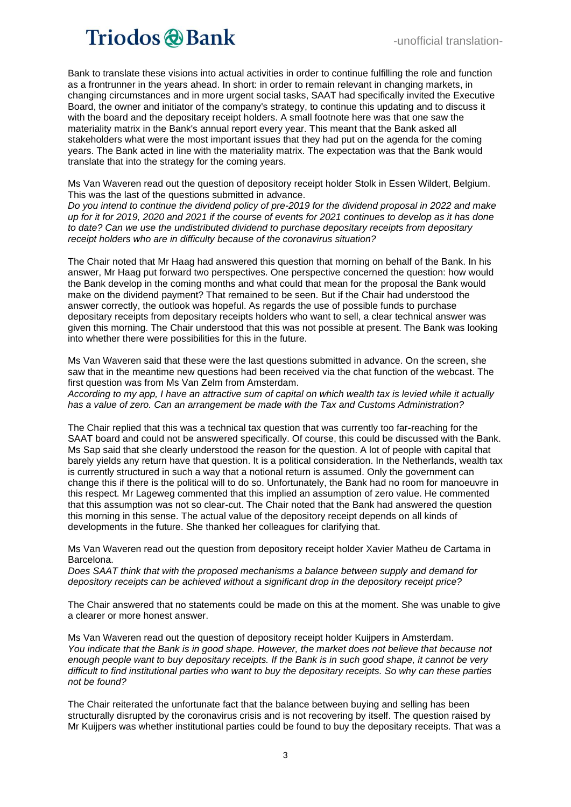Bank to translate these visions into actual activities in order to continue fulfilling the role and function as a frontrunner in the years ahead. In short: in order to remain relevant in changing markets, in changing circumstances and in more urgent social tasks, SAAT had specifically invited the Executive Board, the owner and initiator of the company's strategy, to continue this updating and to discuss it with the board and the depositary receipt holders. A small footnote here was that one saw the materiality matrix in the Bank's annual report every year. This meant that the Bank asked all stakeholders what were the most important issues that they had put on the agenda for the coming years. The Bank acted in line with the materiality matrix. The expectation was that the Bank would translate that into the strategy for the coming years.

Ms Van Waveren read out the question of depository receipt holder Stolk in Essen Wildert, Belgium. This was the last of the questions submitted in advance.

*Do you intend to continue the dividend policy of pre-2019 for the dividend proposal in 2022 and make up for it for 2019, 2020 and 2021 if the course of events for 2021 continues to develop as it has done to date? Can we use the undistributed dividend to purchase depositary receipts from depositary receipt holders who are in difficulty because of the coronavirus situation?* 

The Chair noted that Mr Haag had answered this question that morning on behalf of the Bank. In his answer, Mr Haag put forward two perspectives. One perspective concerned the question: how would the Bank develop in the coming months and what could that mean for the proposal the Bank would make on the dividend payment? That remained to be seen. But if the Chair had understood the answer correctly, the outlook was hopeful. As regards the use of possible funds to purchase depositary receipts from depositary receipts holders who want to sell, a clear technical answer was given this morning. The Chair understood that this was not possible at present. The Bank was looking into whether there were possibilities for this in the future.

Ms Van Waveren said that these were the last questions submitted in advance. On the screen, she saw that in the meantime new questions had been received via the chat function of the webcast. The first question was from Ms Van Zelm from Amsterdam.

*According to my app, I have an attractive sum of capital on which wealth tax is levied while it actually has a value of zero. Can an arrangement be made with the Tax and Customs Administration?* 

The Chair replied that this was a technical tax question that was currently too far-reaching for the SAAT board and could not be answered specifically. Of course, this could be discussed with the Bank. Ms Sap said that she clearly understood the reason for the question. A lot of people with capital that barely yields any return have that question. It is a political consideration. In the Netherlands, wealth tax is currently structured in such a way that a notional return is assumed. Only the government can change this if there is the political will to do so. Unfortunately, the Bank had no room for manoeuvre in this respect. Mr Lageweg commented that this implied an assumption of zero value. He commented that this assumption was not so clear-cut. The Chair noted that the Bank had answered the question this morning in this sense. The actual value of the depository receipt depends on all kinds of developments in the future. She thanked her colleagues for clarifying that.

Ms Van Waveren read out the question from depository receipt holder Xavier Matheu de Cartama in Barcelona.

*Does SAAT think that with the proposed mechanisms a balance between supply and demand for depository receipts can be achieved without a significant drop in the depository receipt price?* 

The Chair answered that no statements could be made on this at the moment. She was unable to give a clearer or more honest answer.

Ms Van Waveren read out the question of depository receipt holder Kuijpers in Amsterdam. *You indicate that the Bank is in good shape. However, the market does not believe that because not enough people want to buy depositary receipts. If the Bank is in such good shape, it cannot be very difficult to find institutional parties who want to buy the depositary receipts. So why can these parties not be found?*

The Chair reiterated the unfortunate fact that the balance between buying and selling has been structurally disrupted by the coronavirus crisis and is not recovering by itself. The question raised by Mr Kuijpers was whether institutional parties could be found to buy the depositary receipts. That was a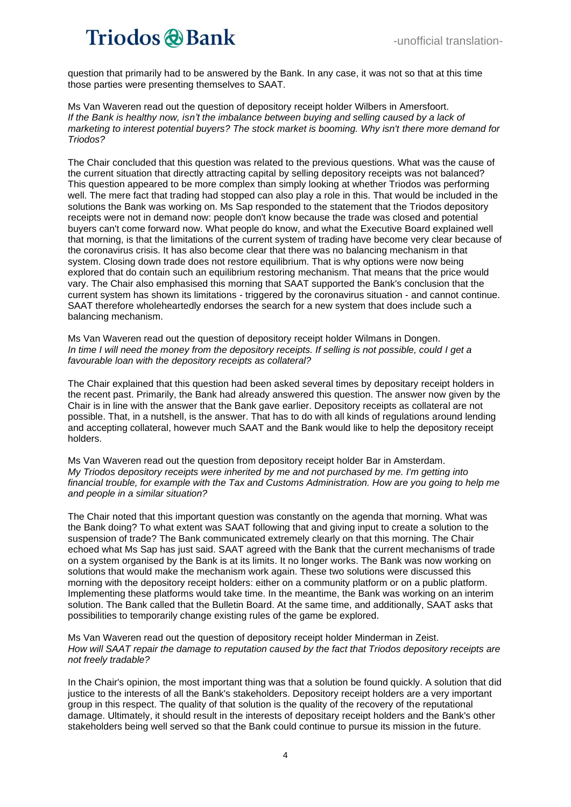question that primarily had to be answered by the Bank. In any case, it was not so that at this time those parties were presenting themselves to SAAT.

Ms Van Waveren read out the question of depository receipt holder Wilbers in Amersfoort. *If the Bank is healthy now, isn't the imbalance between buying and selling caused by a lack of marketing to interest potential buyers? The stock market is booming. Why isn't there more demand for Triodos?* 

The Chair concluded that this question was related to the previous questions. What was the cause of the current situation that directly attracting capital by selling depository receipts was not balanced? This question appeared to be more complex than simply looking at whether Triodos was performing well. The mere fact that trading had stopped can also play a role in this. That would be included in the solutions the Bank was working on. Ms Sap responded to the statement that the Triodos depository receipts were not in demand now: people don't know because the trade was closed and potential buyers can't come forward now. What people do know, and what the Executive Board explained well that morning, is that the limitations of the current system of trading have become very clear because of the coronavirus crisis. It has also become clear that there was no balancing mechanism in that system. Closing down trade does not restore equilibrium. That is why options were now being explored that do contain such an equilibrium restoring mechanism. That means that the price would vary. The Chair also emphasised this morning that SAAT supported the Bank's conclusion that the current system has shown its limitations - triggered by the coronavirus situation - and cannot continue. SAAT therefore wholeheartedly endorses the search for a new system that does include such a balancing mechanism.

Ms Van Waveren read out the question of depository receipt holder Wilmans in Dongen. *In time I will need the money from the depository receipts. If selling is not possible, could I get a favourable loan with the depository receipts as collateral?*

The Chair explained that this question had been asked several times by depositary receipt holders in the recent past. Primarily, the Bank had already answered this question. The answer now given by the Chair is in line with the answer that the Bank gave earlier. Depository receipts as collateral are not possible. That, in a nutshell, is the answer. That has to do with all kinds of regulations around lending and accepting collateral, however much SAAT and the Bank would like to help the depository receipt holders.

Ms Van Waveren read out the question from depository receipt holder Bar in Amsterdam. *My Triodos depository receipts were inherited by me and not purchased by me. I'm getting into financial trouble, for example with the Tax and Customs Administration. How are you going to help me and people in a similar situation?* 

The Chair noted that this important question was constantly on the agenda that morning. What was the Bank doing? To what extent was SAAT following that and giving input to create a solution to the suspension of trade? The Bank communicated extremely clearly on that this morning. The Chair echoed what Ms Sap has just said. SAAT agreed with the Bank that the current mechanisms of trade on a system organised by the Bank is at its limits. It no longer works. The Bank was now working on solutions that would make the mechanism work again. These two solutions were discussed this morning with the depository receipt holders: either on a community platform or on a public platform. Implementing these platforms would take time. In the meantime, the Bank was working on an interim solution. The Bank called that the Bulletin Board. At the same time, and additionally, SAAT asks that possibilities to temporarily change existing rules of the game be explored.

Ms Van Waveren read out the question of depository receipt holder Minderman in Zeist. *How will SAAT repair the damage to reputation caused by the fact that Triodos depository receipts are not freely tradable?* 

In the Chair's opinion, the most important thing was that a solution be found quickly. A solution that did justice to the interests of all the Bank's stakeholders. Depository receipt holders are a very important group in this respect. The quality of that solution is the quality of the recovery of the reputational damage. Ultimately, it should result in the interests of depositary receipt holders and the Bank's other stakeholders being well served so that the Bank could continue to pursue its mission in the future.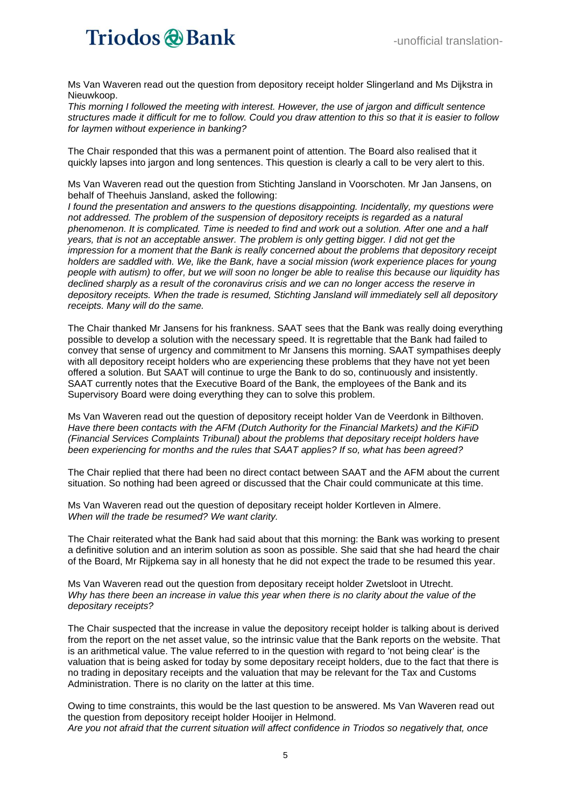Ms Van Waveren read out the question from depository receipt holder Slingerland and Ms Dijkstra in Nieuwkoop.

*This morning I followed the meeting with interest. However, the use of jargon and difficult sentence structures made it difficult for me to follow. Could you draw attention to this so that it is easier to follow for laymen without experience in banking?*

The Chair responded that this was a permanent point of attention. The Board also realised that it quickly lapses into jargon and long sentences. This question is clearly a call to be very alert to this.

Ms Van Waveren read out the question from Stichting Jansland in Voorschoten. Mr Jan Jansens, on behalf of Theehuis Jansland, asked the following:

*I found the presentation and answers to the questions disappointing. Incidentally, my questions were not addressed. The problem of the suspension of depository receipts is regarded as a natural phenomenon. It is complicated. Time is needed to find and work out a solution. After one and a half years, that is not an acceptable answer. The problem is only getting bigger. I did not get the impression for a moment that the Bank is really concerned about the problems that depository receipt holders are saddled with. We, like the Bank, have a social mission (work experience places for young people with autism) to offer, but we will soon no longer be able to realise this because our liquidity has declined sharply as a result of the coronavirus crisis and we can no longer access the reserve in depository receipts. When the trade is resumed, Stichting Jansland will immediately sell all depository receipts. Many will do the same.*

The Chair thanked Mr Jansens for his frankness. SAAT sees that the Bank was really doing everything possible to develop a solution with the necessary speed. It is regrettable that the Bank had failed to convey that sense of urgency and commitment to Mr Jansens this morning. SAAT sympathises deeply with all depository receipt holders who are experiencing these problems that they have not yet been offered a solution. But SAAT will continue to urge the Bank to do so, continuously and insistently. SAAT currently notes that the Executive Board of the Bank, the employees of the Bank and its Supervisory Board were doing everything they can to solve this problem.

Ms Van Waveren read out the question of depository receipt holder Van de Veerdonk in Bilthoven. *Have there been contacts with the AFM (Dutch Authority for the Financial Markets) and the KiFiD (Financial Services Complaints Tribunal) about the problems that depositary receipt holders have been experiencing for months and the rules that SAAT applies? If so, what has been agreed?* 

The Chair replied that there had been no direct contact between SAAT and the AFM about the current situation. So nothing had been agreed or discussed that the Chair could communicate at this time.

Ms Van Waveren read out the question of depositary receipt holder Kortleven in Almere. *When will the trade be resumed? We want clarity.* 

The Chair reiterated what the Bank had said about that this morning: the Bank was working to present a definitive solution and an interim solution as soon as possible. She said that she had heard the chair of the Board, Mr Rijpkema say in all honesty that he did not expect the trade to be resumed this year.

Ms Van Waveren read out the question from depositary receipt holder Zwetsloot in Utrecht. *Why has there been an increase in value this year when there is no clarity about the value of the depositary receipts?*

The Chair suspected that the increase in value the depository receipt holder is talking about is derived from the report on the net asset value, so the intrinsic value that the Bank reports on the website. That is an arithmetical value. The value referred to in the question with regard to 'not being clear' is the valuation that is being asked for today by some depositary receipt holders, due to the fact that there is no trading in depositary receipts and the valuation that may be relevant for the Tax and Customs Administration. There is no clarity on the latter at this time.

Owing to time constraints, this would be the last question to be answered. Ms Van Waveren read out the question from depository receipt holder Hooijer in Helmond. *Are you not afraid that the current situation will affect confidence in Triodos so negatively that, once*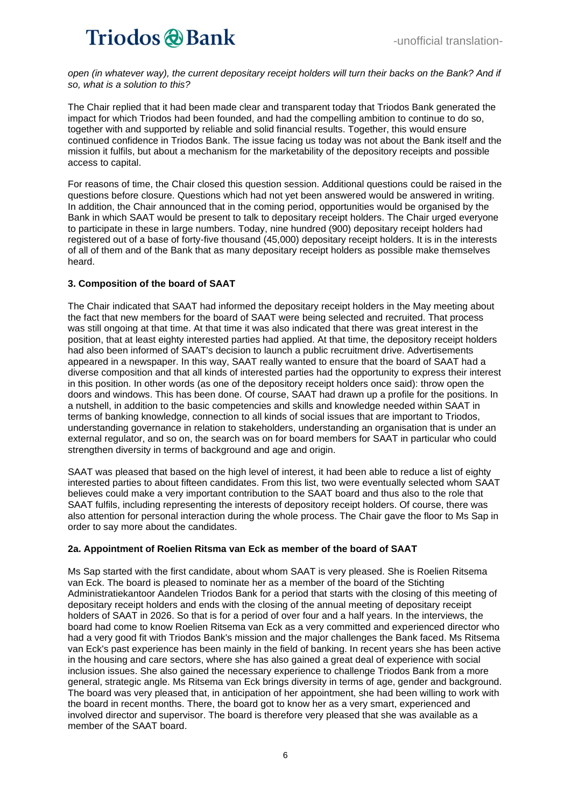open (in whatever way), the current depositary receipt holders will turn their backs on the Bank? And if *so, what is a solution to this?* 

The Chair replied that it had been made clear and transparent today that Triodos Bank generated the impact for which Triodos had been founded, and had the compelling ambition to continue to do so, together with and supported by reliable and solid financial results. Together, this would ensure continued confidence in Triodos Bank. The issue facing us today was not about the Bank itself and the mission it fulfils, but about a mechanism for the marketability of the depository receipts and possible access to capital.

For reasons of time, the Chair closed this question session. Additional questions could be raised in the questions before closure. Questions which had not yet been answered would be answered in writing. In addition, the Chair announced that in the coming period, opportunities would be organised by the Bank in which SAAT would be present to talk to depositary receipt holders. The Chair urged everyone to participate in these in large numbers. Today, nine hundred (900) depositary receipt holders had registered out of a base of forty-five thousand (45,000) depositary receipt holders. It is in the interests of all of them and of the Bank that as many depositary receipt holders as possible make themselves heard.

### **3. Composition of the board of SAAT**

The Chair indicated that SAAT had informed the depositary receipt holders in the May meeting about the fact that new members for the board of SAAT were being selected and recruited. That process was still ongoing at that time. At that time it was also indicated that there was great interest in the position, that at least eighty interested parties had applied. At that time, the depository receipt holders had also been informed of SAAT's decision to launch a public recruitment drive. Advertisements appeared in a newspaper. In this way, SAAT really wanted to ensure that the board of SAAT had a diverse composition and that all kinds of interested parties had the opportunity to express their interest in this position. In other words (as one of the depository receipt holders once said): throw open the doors and windows. This has been done. Of course, SAAT had drawn up a profile for the positions. In a nutshell, in addition to the basic competencies and skills and knowledge needed within SAAT in terms of banking knowledge, connection to all kinds of social issues that are important to Triodos, understanding governance in relation to stakeholders, understanding an organisation that is under an external regulator, and so on, the search was on for board members for SAAT in particular who could strengthen diversity in terms of background and age and origin.

SAAT was pleased that based on the high level of interest, it had been able to reduce a list of eighty interested parties to about fifteen candidates. From this list, two were eventually selected whom SAAT believes could make a very important contribution to the SAAT board and thus also to the role that SAAT fulfils, including representing the interests of depository receipt holders. Of course, there was also attention for personal interaction during the whole process. The Chair gave the floor to Ms Sap in order to say more about the candidates.

### **2a. Appointment of Roelien Ritsma van Eck as member of the board of SAAT**

Ms Sap started with the first candidate, about whom SAAT is very pleased. She is Roelien Ritsema van Eck. The board is pleased to nominate her as a member of the board of the Stichting Administratiekantoor Aandelen Triodos Bank for a period that starts with the closing of this meeting of depositary receipt holders and ends with the closing of the annual meeting of depositary receipt holders of SAAT in 2026. So that is for a period of over four and a half years. In the interviews, the board had come to know Roelien Ritsema van Eck as a very committed and experienced director who had a very good fit with Triodos Bank's mission and the major challenges the Bank faced. Ms Ritsema van Eck's past experience has been mainly in the field of banking. In recent years she has been active in the housing and care sectors, where she has also gained a great deal of experience with social inclusion issues. She also gained the necessary experience to challenge Triodos Bank from a more general, strategic angle. Ms Ritsema van Eck brings diversity in terms of age, gender and background. The board was very pleased that, in anticipation of her appointment, she had been willing to work with the board in recent months. There, the board got to know her as a very smart, experienced and involved director and supervisor. The board is therefore very pleased that she was available as a member of the SAAT board.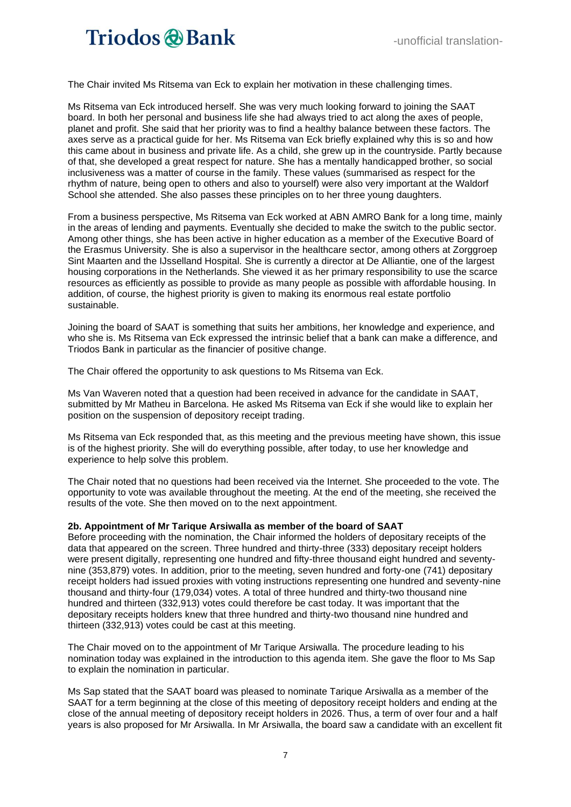The Chair invited Ms Ritsema van Eck to explain her motivation in these challenging times.

Ms Ritsema van Eck introduced herself. She was very much looking forward to joining the SAAT board. In both her personal and business life she had always tried to act along the axes of people, planet and profit. She said that her priority was to find a healthy balance between these factors. The axes serve as a practical guide for her. Ms Ritsema van Eck briefly explained why this is so and how this came about in business and private life. As a child, she grew up in the countryside. Partly because of that, she developed a great respect for nature. She has a mentally handicapped brother, so social inclusiveness was a matter of course in the family. These values (summarised as respect for the rhythm of nature, being open to others and also to yourself) were also very important at the Waldorf School she attended. She also passes these principles on to her three young daughters.

From a business perspective, Ms Ritsema van Eck worked at ABN AMRO Bank for a long time, mainly in the areas of lending and payments. Eventually she decided to make the switch to the public sector. Among other things, she has been active in higher education as a member of the Executive Board of the Erasmus University. She is also a supervisor in the healthcare sector, among others at Zorggroep Sint Maarten and the IJsselland Hospital. She is currently a director at De Alliantie, one of the largest housing corporations in the Netherlands. She viewed it as her primary responsibility to use the scarce resources as efficiently as possible to provide as many people as possible with affordable housing. In addition, of course, the highest priority is given to making its enormous real estate portfolio sustainable.

Joining the board of SAAT is something that suits her ambitions, her knowledge and experience, and who she is. Ms Ritsema van Eck expressed the intrinsic belief that a bank can make a difference, and Triodos Bank in particular as the financier of positive change.

The Chair offered the opportunity to ask questions to Ms Ritsema van Eck.

Ms Van Waveren noted that a question had been received in advance for the candidate in SAAT, submitted by Mr Matheu in Barcelona. He asked Ms Ritsema van Eck if she would like to explain her position on the suspension of depository receipt trading.

Ms Ritsema van Eck responded that, as this meeting and the previous meeting have shown, this issue is of the highest priority. She will do everything possible, after today, to use her knowledge and experience to help solve this problem.

The Chair noted that no questions had been received via the Internet. She proceeded to the vote. The opportunity to vote was available throughout the meeting. At the end of the meeting, she received the results of the vote. She then moved on to the next appointment.

#### **2b. Appointment of Mr Tarique Arsiwalla as member of the board of SAAT**

Before proceeding with the nomination, the Chair informed the holders of depositary receipts of the data that appeared on the screen. Three hundred and thirty-three (333) depositary receipt holders were present digitally, representing one hundred and fifty-three thousand eight hundred and seventynine (353,879) votes. In addition, prior to the meeting, seven hundred and forty-one (741) depositary receipt holders had issued proxies with voting instructions representing one hundred and seventy-nine thousand and thirty-four (179,034) votes. A total of three hundred and thirty-two thousand nine hundred and thirteen (332,913) votes could therefore be cast today. It was important that the depositary receipts holders knew that three hundred and thirty-two thousand nine hundred and thirteen (332,913) votes could be cast at this meeting.

The Chair moved on to the appointment of Mr Tarique Arsiwalla. The procedure leading to his nomination today was explained in the introduction to this agenda item. She gave the floor to Ms Sap to explain the nomination in particular.

Ms Sap stated that the SAAT board was pleased to nominate Tarique Arsiwalla as a member of the SAAT for a term beginning at the close of this meeting of depository receipt holders and ending at the close of the annual meeting of depository receipt holders in 2026. Thus, a term of over four and a half years is also proposed for Mr Arsiwalla. In Mr Arsiwalla, the board saw a candidate with an excellent fit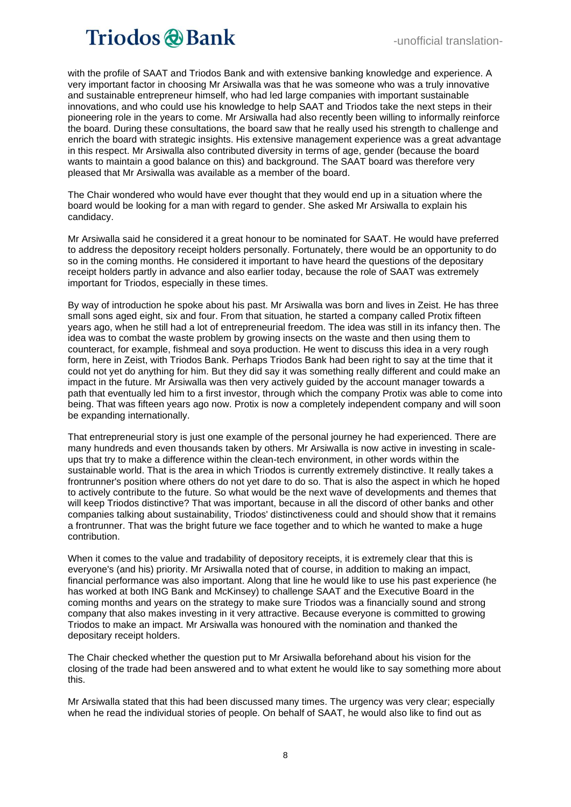with the profile of SAAT and Triodos Bank and with extensive banking knowledge and experience. A very important factor in choosing Mr Arsiwalla was that he was someone who was a truly innovative and sustainable entrepreneur himself, who had led large companies with important sustainable innovations, and who could use his knowledge to help SAAT and Triodos take the next steps in their pioneering role in the years to come. Mr Arsiwalla had also recently been willing to informally reinforce the board. During these consultations, the board saw that he really used his strength to challenge and enrich the board with strategic insights. His extensive management experience was a great advantage in this respect. Mr Arsiwalla also contributed diversity in terms of age, gender (because the board wants to maintain a good balance on this) and background. The SAAT board was therefore very pleased that Mr Arsiwalla was available as a member of the board.

The Chair wondered who would have ever thought that they would end up in a situation where the board would be looking for a man with regard to gender. She asked Mr Arsiwalla to explain his candidacy.

Mr Arsiwalla said he considered it a great honour to be nominated for SAAT. He would have preferred to address the depository receipt holders personally. Fortunately, there would be an opportunity to do so in the coming months. He considered it important to have heard the questions of the depositary receipt holders partly in advance and also earlier today, because the role of SAAT was extremely important for Triodos, especially in these times.

By way of introduction he spoke about his past. Mr Arsiwalla was born and lives in Zeist. He has three small sons aged eight, six and four. From that situation, he started a company called Protix fifteen years ago, when he still had a lot of entrepreneurial freedom. The idea was still in its infancy then. The idea was to combat the waste problem by growing insects on the waste and then using them to counteract, for example, fishmeal and soya production. He went to discuss this idea in a very rough form, here in Zeist, with Triodos Bank. Perhaps Triodos Bank had been right to say at the time that it could not yet do anything for him. But they did say it was something really different and could make an impact in the future. Mr Arsiwalla was then very actively guided by the account manager towards a path that eventually led him to a first investor, through which the company Protix was able to come into being. That was fifteen years ago now. Protix is now a completely independent company and will soon be expanding internationally.

That entrepreneurial story is just one example of the personal journey he had experienced. There are many hundreds and even thousands taken by others. Mr Arsiwalla is now active in investing in scaleups that try to make a difference within the clean-tech environment, in other words within the sustainable world. That is the area in which Triodos is currently extremely distinctive. It really takes a frontrunner's position where others do not yet dare to do so. That is also the aspect in which he hoped to actively contribute to the future. So what would be the next wave of developments and themes that will keep Triodos distinctive? That was important, because in all the discord of other banks and other companies talking about sustainability, Triodos' distinctiveness could and should show that it remains a frontrunner. That was the bright future we face together and to which he wanted to make a huge contribution.

When it comes to the value and tradability of depository receipts, it is extremely clear that this is everyone's (and his) priority. Mr Arsiwalla noted that of course, in addition to making an impact, financial performance was also important. Along that line he would like to use his past experience (he has worked at both ING Bank and McKinsey) to challenge SAAT and the Executive Board in the coming months and years on the strategy to make sure Triodos was a financially sound and strong company that also makes investing in it very attractive. Because everyone is committed to growing Triodos to make an impact. Mr Arsiwalla was honoured with the nomination and thanked the depositary receipt holders.

The Chair checked whether the question put to Mr Arsiwalla beforehand about his vision for the closing of the trade had been answered and to what extent he would like to say something more about this.

Mr Arsiwalla stated that this had been discussed many times. The urgency was very clear; especially when he read the individual stories of people. On behalf of SAAT, he would also like to find out as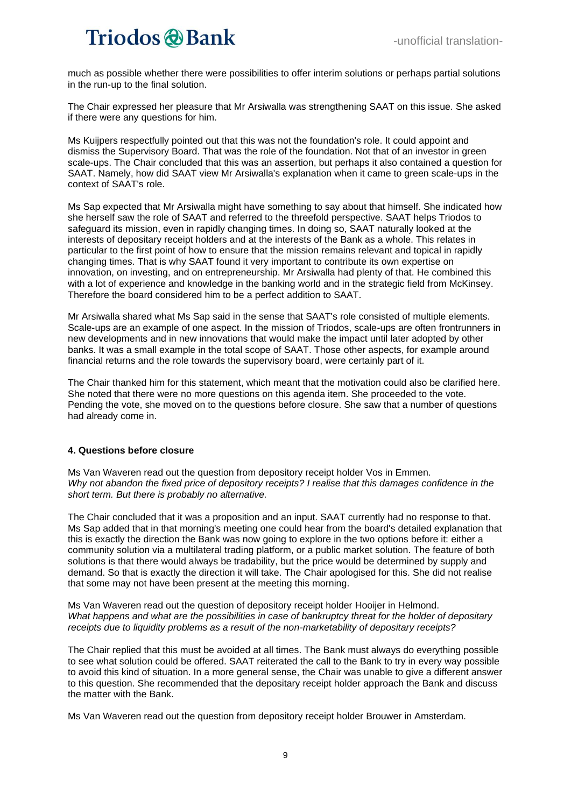much as possible whether there were possibilities to offer interim solutions or perhaps partial solutions in the run-up to the final solution.

The Chair expressed her pleasure that Mr Arsiwalla was strengthening SAAT on this issue. She asked if there were any questions for him.

Ms Kuijpers respectfully pointed out that this was not the foundation's role. It could appoint and dismiss the Supervisory Board. That was the role of the foundation. Not that of an investor in green scale-ups. The Chair concluded that this was an assertion, but perhaps it also contained a question for SAAT. Namely, how did SAAT view Mr Arsiwalla's explanation when it came to green scale-ups in the context of SAAT's role.

Ms Sap expected that Mr Arsiwalla might have something to say about that himself. She indicated how she herself saw the role of SAAT and referred to the threefold perspective. SAAT helps Triodos to safeguard its mission, even in rapidly changing times. In doing so, SAAT naturally looked at the interests of depositary receipt holders and at the interests of the Bank as a whole. This relates in particular to the first point of how to ensure that the mission remains relevant and topical in rapidly changing times. That is why SAAT found it very important to contribute its own expertise on innovation, on investing, and on entrepreneurship. Mr Arsiwalla had plenty of that. He combined this with a lot of experience and knowledge in the banking world and in the strategic field from McKinsey. Therefore the board considered him to be a perfect addition to SAAT.

Mr Arsiwalla shared what Ms Sap said in the sense that SAAT's role consisted of multiple elements. Scale-ups are an example of one aspect. In the mission of Triodos, scale-ups are often frontrunners in new developments and in new innovations that would make the impact until later adopted by other banks. It was a small example in the total scope of SAAT. Those other aspects, for example around financial returns and the role towards the supervisory board, were certainly part of it.

The Chair thanked him for this statement, which meant that the motivation could also be clarified here. She noted that there were no more questions on this agenda item. She proceeded to the vote. Pending the vote, she moved on to the questions before closure. She saw that a number of questions had already come in.

### **4. Questions before closure**

Ms Van Waveren read out the question from depository receipt holder Vos in Emmen. *Why not abandon the fixed price of depository receipts? I realise that this damages confidence in the short term. But there is probably no alternative.* 

The Chair concluded that it was a proposition and an input. SAAT currently had no response to that. Ms Sap added that in that morning's meeting one could hear from the board's detailed explanation that this is exactly the direction the Bank was now going to explore in the two options before it: either a community solution via a multilateral trading platform, or a public market solution. The feature of both solutions is that there would always be tradability, but the price would be determined by supply and demand. So that is exactly the direction it will take. The Chair apologised for this. She did not realise that some may not have been present at the meeting this morning.

Ms Van Waveren read out the question of depository receipt holder Hooijer in Helmond. *What happens and what are the possibilities in case of bankruptcy threat for the holder of depositary receipts due to liquidity problems as a result of the non-marketability of depositary receipts?*

The Chair replied that this must be avoided at all times. The Bank must always do everything possible to see what solution could be offered. SAAT reiterated the call to the Bank to try in every way possible to avoid this kind of situation. In a more general sense, the Chair was unable to give a different answer to this question. She recommended that the depositary receipt holder approach the Bank and discuss the matter with the Bank.

Ms Van Waveren read out the question from depository receipt holder Brouwer in Amsterdam.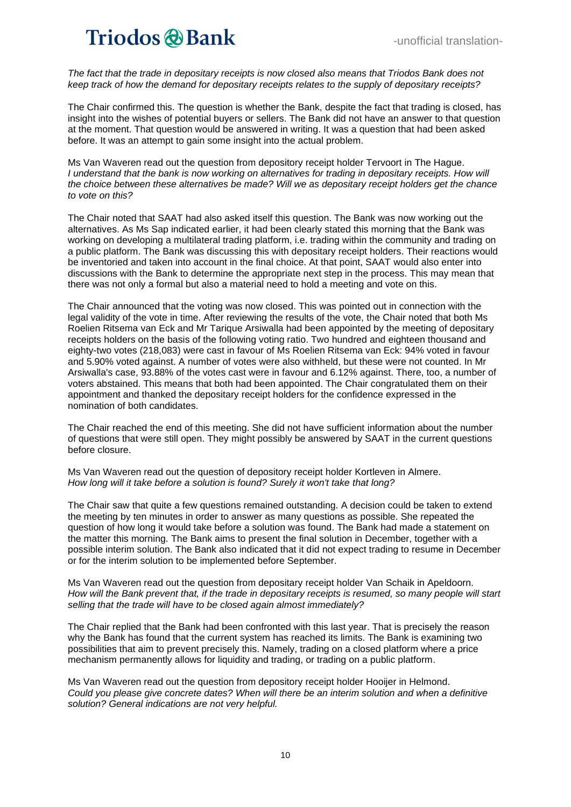*The fact that the trade in depositary receipts is now closed also means that Triodos Bank does not keep track of how the demand for depositary receipts relates to the supply of depositary receipts?*

The Chair confirmed this. The question is whether the Bank, despite the fact that trading is closed, has insight into the wishes of potential buyers or sellers. The Bank did not have an answer to that question at the moment. That question would be answered in writing. It was a question that had been asked before. It was an attempt to gain some insight into the actual problem.

Ms Van Waveren read out the question from depository receipt holder Tervoort in The Hague. *I* understand that the bank is now working on alternatives for trading in depositary receipts. How will *the choice between these alternatives be made? Will we as depositary receipt holders get the chance to vote on this?*

The Chair noted that SAAT had also asked itself this question. The Bank was now working out the alternatives. As Ms Sap indicated earlier, it had been clearly stated this morning that the Bank was working on developing a multilateral trading platform, i.e. trading within the community and trading on a public platform. The Bank was discussing this with depositary receipt holders. Their reactions would be inventoried and taken into account in the final choice. At that point, SAAT would also enter into discussions with the Bank to determine the appropriate next step in the process. This may mean that there was not only a formal but also a material need to hold a meeting and vote on this.

The Chair announced that the voting was now closed. This was pointed out in connection with the legal validity of the vote in time. After reviewing the results of the vote, the Chair noted that both Ms Roelien Ritsema van Eck and Mr Tarique Arsiwalla had been appointed by the meeting of depositary receipts holders on the basis of the following voting ratio. Two hundred and eighteen thousand and eighty-two votes (218,083) were cast in favour of Ms Roelien Ritsema van Eck: 94% voted in favour and 5.90% voted against. A number of votes were also withheld, but these were not counted. In Mr Arsiwalla's case, 93.88% of the votes cast were in favour and 6.12% against. There, too, a number of voters abstained. This means that both had been appointed. The Chair congratulated them on their appointment and thanked the depositary receipt holders for the confidence expressed in the nomination of both candidates.

The Chair reached the end of this meeting. She did not have sufficient information about the number of questions that were still open. They might possibly be answered by SAAT in the current questions before closure.

Ms Van Waveren read out the question of depository receipt holder Kortleven in Almere. *How long will it take before a solution is found? Surely it won't take that long?*

The Chair saw that quite a few questions remained outstanding. A decision could be taken to extend the meeting by ten minutes in order to answer as many questions as possible. She repeated the question of how long it would take before a solution was found. The Bank had made a statement on the matter this morning. The Bank aims to present the final solution in December, together with a possible interim solution. The Bank also indicated that it did not expect trading to resume in December or for the interim solution to be implemented before September.

Ms Van Waveren read out the question from depositary receipt holder Van Schaik in Apeldoorn. *How will the Bank prevent that, if the trade in depositary receipts is resumed, so many people will start selling that the trade will have to be closed again almost immediately?*

The Chair replied that the Bank had been confronted with this last year. That is precisely the reason why the Bank has found that the current system has reached its limits. The Bank is examining two possibilities that aim to prevent precisely this. Namely, trading on a closed platform where a price mechanism permanently allows for liquidity and trading, or trading on a public platform.

Ms Van Waveren read out the question from depository receipt holder Hooijer in Helmond. *Could you please give concrete dates? When will there be an interim solution and when a definitive solution? General indications are not very helpful.*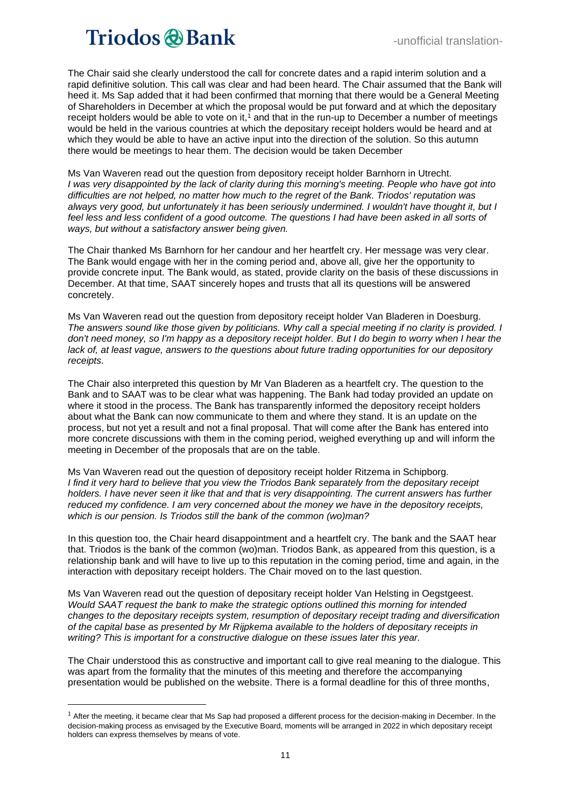The Chair said she clearly understood the call for concrete dates and a rapid interim solution and a rapid definitive solution. This call was clear and had been heard. The Chair assumed that the Bank will heed it. Ms Sap added that it had been confirmed that morning that there would be a General Meeting of Shareholders in December at which the proposal would be put forward and at which the depositary receipt holders would be able to vote on it,<sup>1</sup> and that in the run-up to December a number of meetings would be held in the various countries at which the depositary receipt holders would be heard and at which they would be able to have an active input into the direction of the solution. So this autumn there would be meetings to hear them. The decision would be taken December

Ms Van Waveren read out the question from depository receipt holder Barnhorn in Utrecht. *I* was very disappointed by the lack of clarity during this morning's meeting. People who have got into *difficulties are not helped, no matter how much to the regret of the Bank. Triodos' reputation was always very good, but unfortunately it has been seriously undermined. I wouldn't have thought it, but I feel less and less confident of a good outcome. The questions I had have been asked in all sorts of ways, but without a satisfactory answer being given.*

The Chair thanked Ms Barnhorn for her candour and her heartfelt cry. Her message was very clear. The Bank would engage with her in the coming period and, above all, give her the opportunity to provide concrete input. The Bank would, as stated, provide clarity on the basis of these discussions in December. At that time, SAAT sincerely hopes and trusts that all its questions will be answered concretely.

Ms Van Waveren read out the question from depository receipt holder Van Bladeren in Doesburg. *The answers sound like those given by politicians. Why call a special meeting if no clarity is provided. I*  don't need money, so I'm happy as a depository receipt holder. But I do begin to worry when I hear the *lack of, at least vague, answers to the questions about future trading opportunities for our depository receipts.* 

The Chair also interpreted this question by Mr Van Bladeren as a heartfelt cry. The question to the Bank and to SAAT was to be clear what was happening. The Bank had today provided an update on where it stood in the process. The Bank has transparently informed the depository receipt holders about what the Bank can now communicate to them and where they stand. It is an update on the process, but not yet a result and not a final proposal. That will come after the Bank has entered into more concrete discussions with them in the coming period, weighed everything up and will inform the meeting in December of the proposals that are on the table.

Ms Van Waveren read out the question of depository receipt holder Ritzema in Schipborg. *I find it very hard to believe that you view the Triodos Bank separately from the depositary receipt holders. I have never seen it like that and that is very disappointing. The current answers has further reduced my confidence. I am very concerned about the money we have in the depository receipts, which is our pension. Is Triodos still the bank of the common (wo)man?* 

In this question too, the Chair heard disappointment and a heartfelt cry. The bank and the SAAT hear that. Triodos is the bank of the common (wo)man. Triodos Bank, as appeared from this question, is a relationship bank and will have to live up to this reputation in the coming period, time and again, in the interaction with depositary receipt holders. The Chair moved on to the last question.

Ms Van Waveren read out the question of depositary receipt holder Van Helsting in Oegstgeest. *Would SAAT request the bank to make the strategic options outlined this morning for intended changes to the depositary receipts system, resumption of depositary receipt trading and diversification of the capital base as presented by Mr Rijpkema available to the holders of depositary receipts in writing? This is important for a constructive dialogue on these issues later this year.*

The Chair understood this as constructive and important call to give real meaning to the dialogue. This was apart from the formality that the minutes of this meeting and therefore the accompanying presentation would be published on the website. There is a formal deadline for this of three months,

<sup>&</sup>lt;sup>1</sup> After the meeting, it became clear that Ms Sap had proposed a different process for the decision-making in December. In the decision-making process as envisaged by the Executive Board, moments will be arranged in 2022 in which depositary receipt holders can express themselves by means of vote.